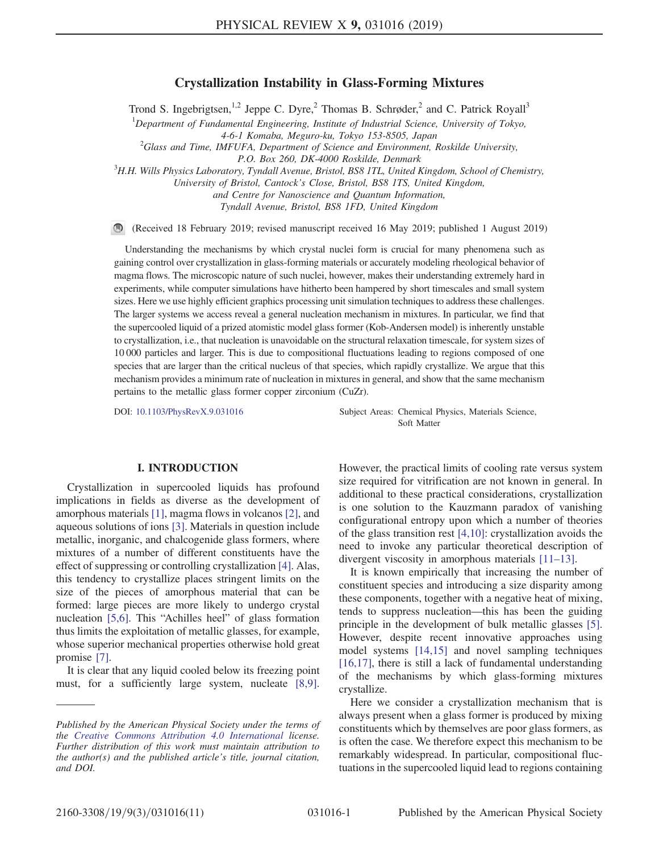# Crystallization Instability in Glass-Forming Mixtures

Trond S. Ingebrigtsen,<sup>1,2</sup> Jeppe C. Dyre,<sup>2</sup> Thomas B. Schrøder,<sup>2</sup> and C. Patrick Royall<sup>3</sup>

 ${}^{1}$ Department of Fundamental Engineering, Institute of Industrial Science, University of Tokyo,

4-6-1 Komaba, Meguro-ku, Tokyo 153-8505, Japan <sup>2</sup>

 $^{2}$ Glass and Time, IMFUFA, Department of Science and Environment, Roskilde University,

P.O. Box 260, DK-4000 Roskilde, Denmark<br><sup>3</sup>H.H. Wills Physics Laboratory, Tyndall Avenue, Bristol, BS8 1TL, United Kingdom, School of Chemistry,

University of Bristol, Cantock's Close, Bristol, BS8 1TS, United Kingdom,

and Centre for Nanoscience and Quantum Information,

Tyndall Avenue, Bristol, BS8 1FD, United Kingdom

(Received 18 February 2019; revised manuscript received 16 May 2019; published 1 August 2019)

Understanding the mechanisms by which crystal nuclei form is crucial for many phenomena such as gaining control over crystallization in glass-forming materials or accurately modeling rheological behavior of magma flows. The microscopic nature of such nuclei, however, makes their understanding extremely hard in experiments, while computer simulations have hitherto been hampered by short timescales and small system sizes. Here we use highly efficient graphics processing unit simulation techniques to address these challenges. The larger systems we access reveal a general nucleation mechanism in mixtures. In particular, we find that the supercooled liquid of a prized atomistic model glass former (Kob-Andersen model) is inherently unstable to crystallization, i.e., that nucleation is unavoidable on the structural relaxation timescale, for system sizes of 10 000 particles and larger. This is due to compositional fluctuations leading to regions composed of one species that are larger than the critical nucleus of that species, which rapidly crystallize. We argue that this mechanism provides a minimum rate of nucleation in mixtures in general, and show that the same mechanism pertains to the metallic glass former copper zirconium (CuZr).

## I. INTRODUCTION

Crystallization in supercooled liquids has profound implications in fields as diverse as the development of amorphous materials [\[1\],](#page-8-0) magma flows in volcanos [\[2\]](#page-8-1), and aqueous solutions of ions [\[3\].](#page-8-2) Materials in question include metallic, inorganic, and chalcogenide glass formers, where mixtures of a number of different constituents have the effect of suppressing or controlling crystallization [\[4\].](#page-8-3) Alas, this tendency to crystallize places stringent limits on the size of the pieces of amorphous material that can be formed: large pieces are more likely to undergo crystal nucleation [\[5,6\]](#page-8-4). This "Achilles heel" of glass formation thus limits the exploitation of metallic glasses, for example, whose superior mechanical properties otherwise hold great promise [\[7\]](#page-8-5).

It is clear that any liquid cooled below its freezing point must, for a sufficiently large system, nucleate [\[8,9\]](#page-8-6).

DOI: [10.1103/PhysRevX.9.031016](https://doi.org/10.1103/PhysRevX.9.031016) Subject Areas: Chemical Physics, Materials Science, Soft Matter

> However, the practical limits of cooling rate versus system size required for vitrification are not known in general. In additional to these practical considerations, crystallization is one solution to the Kauzmann paradox of vanishing configurational entropy upon which a number of theories of the glass transition rest [\[4,10\]](#page-8-3): crystallization avoids the need to invoke any particular theoretical description of divergent viscosity in amorphous materials [\[11](#page-8-7)–13].

> It is known empirically that increasing the number of constituent species and introducing a size disparity among these components, together with a negative heat of mixing, tends to suppress nucleation—this has been the guiding principle in the development of bulk metallic glasses [\[5\]](#page-8-4). However, despite recent innovative approaches using model systems [\[14,15\]](#page-8-8) and novel sampling techniques [\[16,17\]](#page-9-0), there is still a lack of fundamental understanding of the mechanisms by which glass-forming mixtures crystallize.

> Here we consider a crystallization mechanism that is always present when a glass former is produced by mixing constituents which by themselves are poor glass formers, as is often the case. We therefore expect this mechanism to be remarkably widespread. In particular, compositional fluctuations in the supercooled liquid lead to regions containing

Published by the American Physical Society under the terms of the [Creative Commons Attribution 4.0 International](https://creativecommons.org/licenses/by/4.0/) license. Further distribution of this work must maintain attribution to the author(s) and the published article's title, journal citation, and DOI.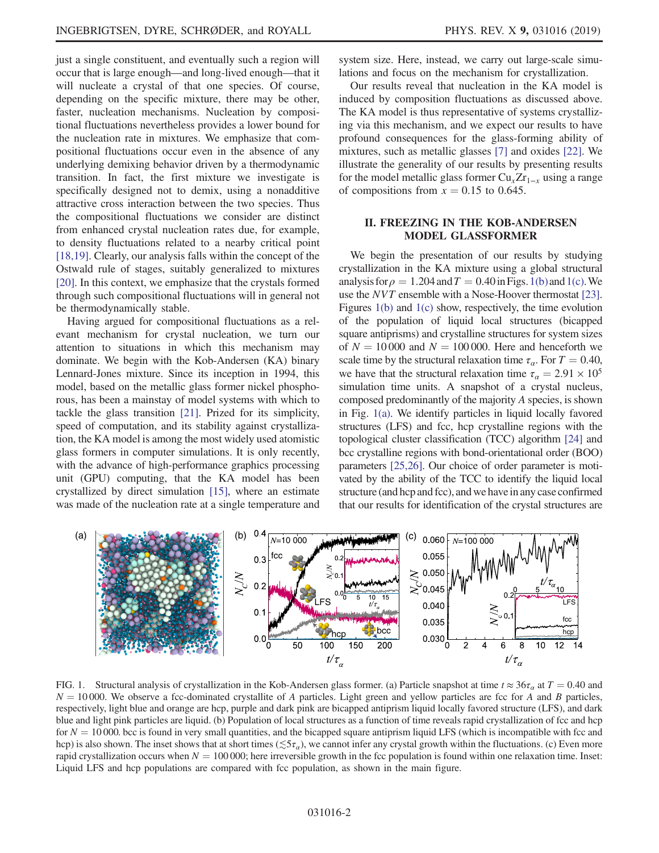just a single constituent, and eventually such a region will occur that is large enough—and long-lived enough—that it will nucleate a crystal of that one species. Of course, depending on the specific mixture, there may be other, faster, nucleation mechanisms. Nucleation by compositional fluctuations nevertheless provides a lower bound for the nucleation rate in mixtures. We emphasize that compositional fluctuations occur even in the absence of any underlying demixing behavior driven by a thermodynamic transition. In fact, the first mixture we investigate is specifically designed not to demix, using a nonadditive attractive cross interaction between the two species. Thus the compositional fluctuations we consider are distinct from enhanced crystal nucleation rates due, for example,

to density fluctuations related to a nearby critical point [\[18,19\]](#page-9-1). Clearly, our analysis falls within the concept of the Ostwald rule of stages, suitably generalized to mixtures [\[20\]](#page-9-2). In this context, we emphasize that the crystals formed through such compositional fluctuations will in general not be thermodynamically stable.

Having argued for compositional fluctuations as a relevant mechanism for crystal nucleation, we turn our attention to situations in which this mechanism may dominate. We begin with the Kob-Andersen (KA) binary Lennard-Jones mixture. Since its inception in 1994, this model, based on the metallic glass former nickel phosphorous, has been a mainstay of model systems with which to tackle the glass transition [\[21\]](#page-9-3). Prized for its simplicity, speed of computation, and its stability against crystallization, the KA model is among the most widely used atomistic glass formers in computer simulations. It is only recently, with the advance of high-performance graphics processing unit (GPU) computing, that the KA model has been crystallized by direct simulation [\[15\],](#page-9-4) where an estimate was made of the nucleation rate at a single temperature and system size. Here, instead, we carry out large-scale simulations and focus on the mechanism for crystallization.

Our results reveal that nucleation in the KA model is induced by composition fluctuations as discussed above. The KA model is thus representative of systems crystallizing via this mechanism, and we expect our results to have profound consequences for the glass-forming ability of mixtures, such as metallic glasses [\[7\]](#page-8-5) and oxides [\[22\].](#page-9-5) We illustrate the generality of our results by presenting results for the model metallic glass former  $Cu<sub>x</sub>Zr<sub>1-x</sub>$  using a range of compositions from  $x = 0.15$  to 0.645.

# II. FREEZING IN THE KOB-ANDERSEN MODEL GLASSFORMER

We begin the presentation of our results by studying crystallization in the KA mixture using a global structural analysis for  $\rho = 1.204$  and  $T = 0.40$  in Figs. [1\(b\)](#page-1-0) and [1\(c\).](#page-1-0) We use the NVT ensemble with a Nose-Hoover thermostat [\[23\]](#page-9-6). Figures [1\(b\)](#page-1-0) and [1\(c\)](#page-1-0) show, respectively, the time evolution of the population of liquid local structures (bicapped square antiprisms) and crystalline structures for system sizes of  $N = 10000$  and  $N = 100000$ . Here and henceforth we scale time by the structural relaxation time  $\tau_{\alpha}$ . For  $T = 0.40$ , we have that the structural relaxation time  $\tau_a = 2.91 \times 10^5$ simulation time units. A snapshot of a crystal nucleus, composed predominantly of the majority A species, is shown in Fig. [1\(a\).](#page-1-0) We identify particles in liquid locally favored structures (LFS) and fcc, hcp crystalline regions with the topological cluster classification (TCC) algorithm [\[24\]](#page-9-7) and bcc crystalline regions with bond-orientational order (BOO) parameters [\[25,26\]](#page-9-8). Our choice of order parameter is motivated by the ability of the TCC to identify the liquid local structure (and hcp and fcc), and we have in any case confirmed that our results for identification of the crystal structures are

<span id="page-1-0"></span>

FIG. 1. Structural analysis of crystallization in the Kob-Andersen glass former. (a) Particle snapshot at time  $t \approx 36\tau_a$  at  $T = 0.40$  and  $N = 10000$ . We observe a fcc-dominated crystallite of A particles. Light green and yellow particles are fcc for A and B particles, respectively, light blue and orange are hcp, purple and dark pink are bicapped antiprism liquid locally favored structure (LFS), and dark blue and light pink particles are liquid. (b) Population of local structures as a function of time reveals rapid crystallization of fcc and hcp for  $N = 10000$ . bcc is found in very small quantities, and the bicapped square antiprism liquid LFS (which is incompatible with fcc and hcp) is also shown. The inset shows that at short times ( $\lesssim 5\tau_a$ ), we cannot infer any crystal growth within the fluctuations. (c) Even more rapid crystallization occurs when  $N = 100000$ ; here irreversible growth in the fcc population is found within one relaxation time. Inset: Liquid LFS and hcp populations are compared with fcc population, as shown in the main figure.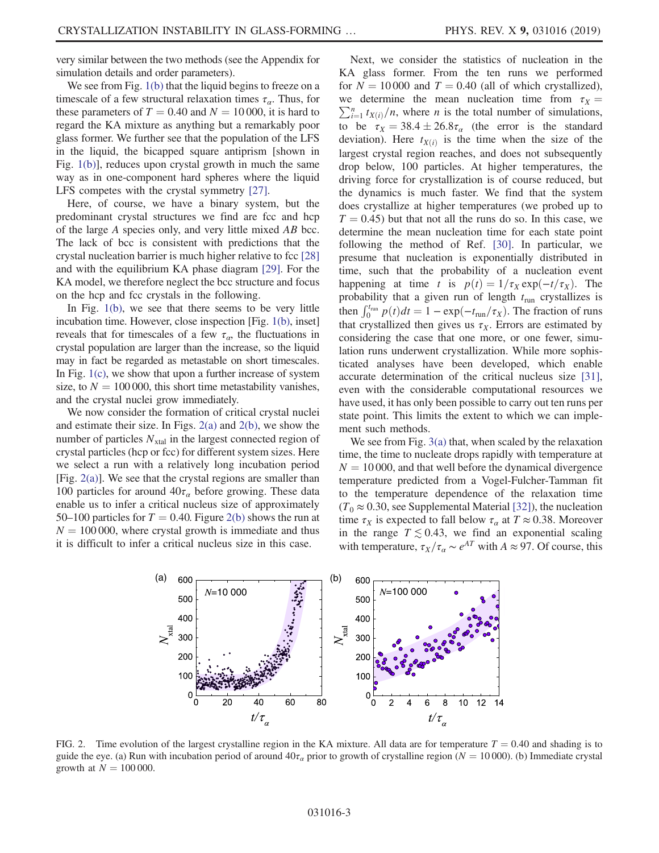very similar between the two methods (see the Appendix for simulation details and order parameters).

We see from Fig. [1\(b\)](#page-1-0) that the liquid begins to freeze on a timescale of a few structural relaxation times  $\tau_{\alpha}$ . Thus, for these parameters of  $T = 0.40$  and  $N = 10000$ , it is hard to regard the KA mixture as anything but a remarkably poor glass former. We further see that the population of the LFS in the liquid, the bicapped square antiprism [shown in Fig. [1\(b\)](#page-1-0)], reduces upon crystal growth in much the same way as in one-component hard spheres where the liquid LFS competes with the crystal symmetry [\[27\]](#page-9-9).

Here, of course, we have a binary system, but the predominant crystal structures we find are fcc and hcp of the large A species only, and very little mixed AB bcc. The lack of bcc is consistent with predictions that the crystal nucleation barrier is much higher relative to fcc [\[28\]](#page-9-10) and with the equilibrium KA phase diagram [\[29\].](#page-9-11) For the KA model, we therefore neglect the bcc structure and focus on the hcp and fcc crystals in the following.

In Fig. [1\(b\)](#page-1-0), we see that there seems to be very little incubation time. However, close inspection [Fig. [1\(b\)](#page-1-0), inset] reveals that for timescales of a few  $\tau_{\alpha}$ , the fluctuations in crystal population are larger than the increase, so the liquid may in fact be regarded as metastable on short timescales. In Fig.  $1(c)$ , we show that upon a further increase of system size, to  $N = 100 000$ , this short time metastability vanishes, and the crystal nuclei grow immediately.

We now consider the formation of critical crystal nuclei and estimate their size. In Figs. [2\(a\)](#page-2-0) and [2\(b\)](#page-2-0), we show the number of particles  $N_{xtal}$  in the largest connected region of crystal particles (hcp or fcc) for different system sizes. Here we select a run with a relatively long incubation period [Fig. [2\(a\)](#page-2-0)]. We see that the crystal regions are smaller than 100 particles for around  $40\tau_a$  before growing. These data enable us to infer a critical nucleus size of approximately 50–100 particles for  $T = 0.40$ . Figure [2\(b\)](#page-2-0) shows the run at  $N = 100 000$ , where crystal growth is immediate and thus it is difficult to infer a critical nucleus size in this case.

Next, we consider the statistics of nucleation in the KA glass former. From the ten runs we performed for  $N = 10000$  and  $T = 0.40$  (all of which crystallized),  $\sum_{i=1}^{n} t_{X(i)}/n$ , where *n* is the total number of simulations, we determine the mean nucleation time from  $\tau_X =$ to be  $\tau_X = 38.4 \pm 26.8 \tau_\alpha$  (the error is the standard deviation). Here  $t_{\text{max}}$  is the time when the size of the deviation). Here  $t_{X(i)}$  is the time when the size of the largest crystal region reaches, and does not subsequently drop below, 100 particles. At higher temperatures, the driving force for crystallization is of course reduced, but the dynamics is much faster. We find that the system does crystallize at higher temperatures (we probed up to  $T = 0.45$ ) but that not all the runs do so. In this case, we determine the mean nucleation time for each state point following the method of Ref. [\[30\]](#page-9-12). In particular, we presume that nucleation is exponentially distributed in time, such that the probability of a nucleation event happening at time t is  $p(t) = 1/\tau_X \exp(-t/\tau_X)$ . The probability that a given run of length  $t_{\text{run}}$  crystallizes is then  $\int_0^{t_{\text{run}}} p(t)dt = 1 - \exp(-t_{\text{run}}/\tau_X)$ . The fraction of runs<br>that crystallized then gives us  $\tau_{\text{tr}}$ . Errors are estimated by that crystallized then gives us  $\tau_X$ . Errors are estimated by considering the case that one more, or one fewer, simulation runs underwent crystallization. While more sophisticated analyses have been developed, which enable accurate determination of the critical nucleus size [\[31\]](#page-9-13), even with the considerable computational resources we have used, it has only been possible to carry out ten runs per state point. This limits the extent to which we can implement such methods.

We see from Fig. [3\(a\)](#page-3-0) that, when scaled by the relaxation time, the time to nucleate drops rapidly with temperature at  $N = 10000$ , and that well before the dynamical divergence temperature predicted from a Vogel-Fulcher-Tamman fit to the temperature dependence of the relaxation time  $(T_0 \approx 0.30$ , see Supplemental Material [\[32\]\)](#page-9-14), the nucleation time  $\tau_X$  is expected to fall below  $\tau_\alpha$  at  $T \approx 0.38$ . Moreover in the range  $T \lesssim 0.43$ , we find an exponential scaling with temperature,  $\tau_X/\tau_\alpha \sim e^{AT}$  with  $A \approx 97$ . Of course, this

<span id="page-2-0"></span>

FIG. 2. Time evolution of the largest crystalline region in the KA mixture. All data are for temperature  $T = 0.40$  and shading is to guide the eye. (a) Run with incubation period of around  $40\tau_\alpha$  prior to growth of crystalline region ( $N = 10000$ ). (b) Immediate crystal growth at  $N = 100 000$ .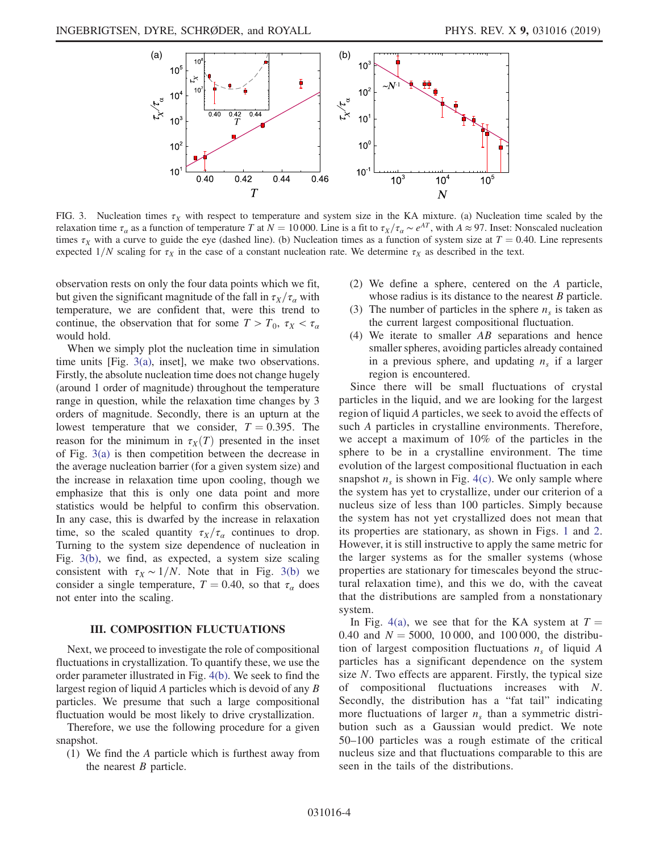<span id="page-3-0"></span>

FIG. 3. Nucleation times  $\tau_X$  with respect to temperature and system size in the KA mixture. (a) Nucleation time scaled by the relaxation time  $\tau_{\alpha}$  as a function of temperature T at  $N = 10000$ . Line is a fit to  $\tau_{X}/\tau_{\alpha} \sim e^{AT}$ , with  $A \approx 97$ . Inset: Nonscaled nucleation times  $\tau_X$  with a curve to guide the eye (dashed line). (b) Nucleation times as a function of system size at  $T = 0.40$ . Line represents expected  $1/N$  scaling for  $\tau_X$  in the case of a constant nucleation rate. We determine  $\tau_X$  as described in the text.

observation rests on only the four data points which we fit, but given the significant magnitude of the fall in  $\tau_X/\tau_\alpha$  with temperature, we are confident that, were this trend to continue, the observation that for some  $T>T_0$ ,  $\tau_X < \tau_\alpha$ would hold.

When we simply plot the nucleation time in simulation time units [Fig. [3\(a\),](#page-3-0) inset], we make two observations. Firstly, the absolute nucleation time does not change hugely (around 1 order of magnitude) throughout the temperature range in question, while the relaxation time changes by 3 orders of magnitude. Secondly, there is an upturn at the lowest temperature that we consider,  $T = 0.395$ . The reason for the minimum in  $\tau_X(T)$  presented in the inset of Fig. [3\(a\)](#page-3-0) is then competition between the decrease in the average nucleation barrier (for a given system size) and the increase in relaxation time upon cooling, though we emphasize that this is only one data point and more statistics would be helpful to confirm this observation. In any case, this is dwarfed by the increase in relaxation time, so the scaled quantity  $\tau_X/\tau_\alpha$  continues to drop. Turning to the system size dependence of nucleation in Fig. [3\(b\)](#page-3-0), we find, as expected, a system size scaling consistent with  $\tau_X \sim 1/N$ . Note that in Fig. [3\(b\)](#page-3-0) we consider a single temperature,  $T = 0.40$ , so that  $\tau_{\alpha}$  does not enter into the scaling.

# III. COMPOSITION FLUCTUATIONS

Next, we proceed to investigate the role of compositional fluctuations in crystallization. To quantify these, we use the order parameter illustrated in Fig. [4\(b\).](#page-4-0) We seek to find the largest region of liquid A particles which is devoid of any B particles. We presume that such a large compositional fluctuation would be most likely to drive crystallization.

Therefore, we use the following procedure for a given snapshot.

(1) We find the A particle which is furthest away from the nearest  $B$  particle.

- (2) We define a sphere, centered on the A particle, whose radius is its distance to the nearest  $B$  particle.
- (3) The number of particles in the sphere  $n<sub>s</sub>$  is taken as the current largest compositional fluctuation.
- (4) We iterate to smaller  $AB$  separations and hence smaller spheres, avoiding particles already contained in a previous sphere, and updating  $n<sub>s</sub>$  if a larger region is encountered.

Since there will be small fluctuations of crystal particles in the liquid, and we are looking for the largest region of liquid A particles, we seek to avoid the effects of such A particles in crystalline environments. Therefore, we accept a maximum of 10% of the particles in the sphere to be in a crystalline environment. The time evolution of the largest compositional fluctuation in each snapshot  $n<sub>s</sub>$  is shown in Fig. [4\(c\).](#page-4-0) We only sample where the system has yet to crystallize, under our criterion of a nucleus size of less than 100 particles. Simply because the system has not yet crystallized does not mean that its properties are stationary, as shown in Figs. [1](#page-1-0) and [2](#page-2-0). However, it is still instructive to apply the same metric for the larger systems as for the smaller systems (whose properties are stationary for timescales beyond the structural relaxation time), and this we do, with the caveat that the distributions are sampled from a nonstationary system.

In Fig. [4\(a\),](#page-4-0) we see that for the KA system at  $T =$ 0.40 and  $N = 5000$ , 10 000, and 100 000, the distribution of largest composition fluctuations  $n<sub>s</sub>$  of liquid A particles has a significant dependence on the system size N. Two effects are apparent. Firstly, the typical size of compositional fluctuations increases with N. Secondly, the distribution has a "fat tail" indicating more fluctuations of larger  $n<sub>s</sub>$  than a symmetric distribution such as a Gaussian would predict. We note 50–100 particles was a rough estimate of the critical nucleus size and that fluctuations comparable to this are seen in the tails of the distributions.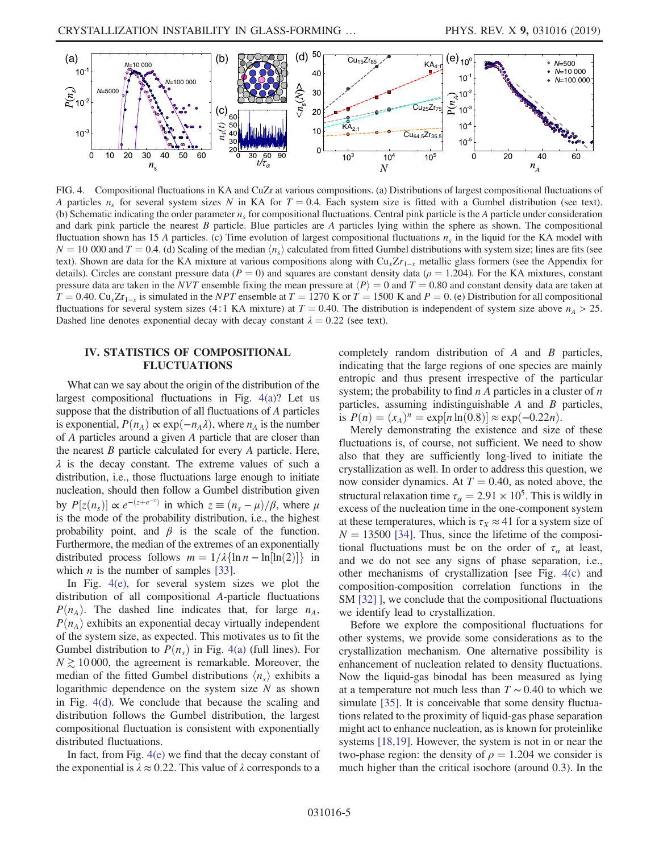<span id="page-4-0"></span>

FIG. 4. Compositional fluctuations in KA and CuZr at various compositions. (a) Distributions of largest compositional fluctuations of A particles  $n_s$  for several system sizes N in KA for  $T = 0.4$ . Each system size is fitted with a Gumbel distribution (see text). (b) Schematic indicating the order parameter  $n<sub>s</sub>$  for compositional fluctuations. Central pink particle is the A particle under consideration and dark pink particle the nearest  $B$  particle. Blue particles are  $A$  particles lying within the sphere as shown. The compositional fluctuation shown has 15 A particles. (c) Time evolution of largest compositional fluctuations  $n_s$  in the liquid for the KA model with  $N = 10000$  and  $T = 0.4$ . (d) Scaling of the median  $\langle n_s \rangle$  calculated from fitted Gumbel distributions with system size; lines are fits (see text). Shown are data for the KA mixture at various compositions along with  $Cu<sub>x</sub>Zr<sub>1-x</sub>$  metallic glass formers (see the Appendix for details). Circles are constant pressure data ( $P = 0$ ) and squares are constant density data ( $\rho = 1.204$ ). For the KA mixtures, constant pressure data are taken in the NVT ensemble fixing the mean pressure at  $\langle P \rangle = 0$  and  $T = 0.80$  and constant density data are taken at  $T = 0.40$ . Cu<sub>x</sub>Zr<sub>1−x</sub> is simulated in the *NPT* ensemble at  $T = 1270$  K or  $T = 1500$  K and  $P = 0$ . (e) Distribution for all compositional fluctuations for several system sizes (4∶1 KA mixture) at  $T = 0.40$ . The distribution is independent of system size above  $n_A > 25$ . Dashed line denotes exponential decay with decay constant  $\lambda = 0.22$  (see text).

# <span id="page-4-1"></span>IV. STATISTICS OF COMPOSITIONAL FLUCTUATIONS

What can we say about the origin of the distribution of the largest compositional fluctuations in Fig. [4\(a\)?](#page-4-0) Let us suppose that the distribution of all fluctuations of A particles is exponential,  $P(n_A) \propto \exp(-n_A \lambda)$ , where  $n_A$  is the number of A particles around a given A particle that are closer than the nearest  $B$  particle calculated for every  $A$  particle. Here,  $\lambda$  is the decay constant. The extreme values of such a distribution, i.e., those fluctuations large enough to initiate nucleation, should then follow a Gumbel distribution given by  $P[z(n_s)] \propto e^{-(z+e^{-z})}$  in which  $z \equiv (n_s - \mu)/\beta$ , where  $\mu$ is the mode of the probability distribution, i.e., the highest probability point, and  $\beta$  is the scale of the function. Furthermore, the median of the extremes of an exponentially distributed process follows  $m = 1/\lambda \{\ln n - \ln[\ln(2)]\}$  in which *n* is the number of samples [\[33\]](#page-9-15).

In Fig. [4\(e\)](#page-4-0), for several system sizes we plot the distribution of all compositional A-particle fluctuations  $P(n_A)$ . The dashed line indicates that, for large  $n_A$ ,  $P(n_A)$  exhibits an exponential decay virtually independent of the system size, as expected. This motivates us to fit the Gumbel distribution to  $P(n<sub>s</sub>)$  in Fig. [4\(a\)](#page-4-0) (full lines). For  $N \gtrsim 10000$ , the agreement is remarkable. Moreover, the median of the fitted Gumbel distributions  $\langle n_s \rangle$  exhibits a logarithmic dependence on the system size  $N$  as shown in Fig. [4\(d\).](#page-4-0) We conclude that because the scaling and distribution follows the Gumbel distribution, the largest compositional fluctuation is consistent with exponentially distributed fluctuations.

In fact, from Fig. [4\(e\)](#page-4-0) we find that the decay constant of the exponential is  $\lambda \approx 0.22$ . This value of  $\lambda$  corresponds to a completely random distribution of A and B particles, indicating that the large regions of one species are mainly entropic and thus present irrespective of the particular system; the probability to find  $n A$  particles in a cluster of  $n A$ particles, assuming indistinguishable A and B particles, is  $P(n) = (x_A)^n = \exp[n \ln(0.8)] \approx \exp(-0.22n)$ .

Merely demonstrating the existence and size of these fluctuations is, of course, not sufficient. We need to show also that they are sufficiently long-lived to initiate the crystallization as well. In order to address this question, we now consider dynamics. At  $T = 0.40$ , as noted above, the structural relaxation time  $\tau_{\alpha} = 2.91 \times 10^5$ . This is wildly in excess of the nucleation time in the one-component system at these temperatures, which is  $\tau_X \approx 41$  for a system size of  $N = 13500$  [\[34\].](#page-9-16) Thus, since the lifetime of the compositional fluctuations must be on the order of  $\tau_a$  at least, and we do not see any signs of phase separation, i.e., other mechanisms of crystallization [see Fig. [4\(c\)](#page-4-0) and composition-composition correlation functions in the SM [\[32\]](#page-9-14) ], we conclude that the compositional fluctuations we identify lead to crystallization.

Before we explore the compositional fluctuations for other systems, we provide some considerations as to the crystallization mechanism. One alternative possibility is enhancement of nucleation related to density fluctuations. Now the liquid-gas binodal has been measured as lying at a temperature not much less than  $T \sim 0.40$  to which we simulate [\[35\].](#page-9-17) It is conceivable that some density fluctuations related to the proximity of liquid-gas phase separation might act to enhance nucleation, as is known for proteinlike systems [\[18,19\]](#page-9-1). However, the system is not in or near the two-phase region: the density of  $\rho = 1.204$  we consider is much higher than the critical isochore (around 0.3). In the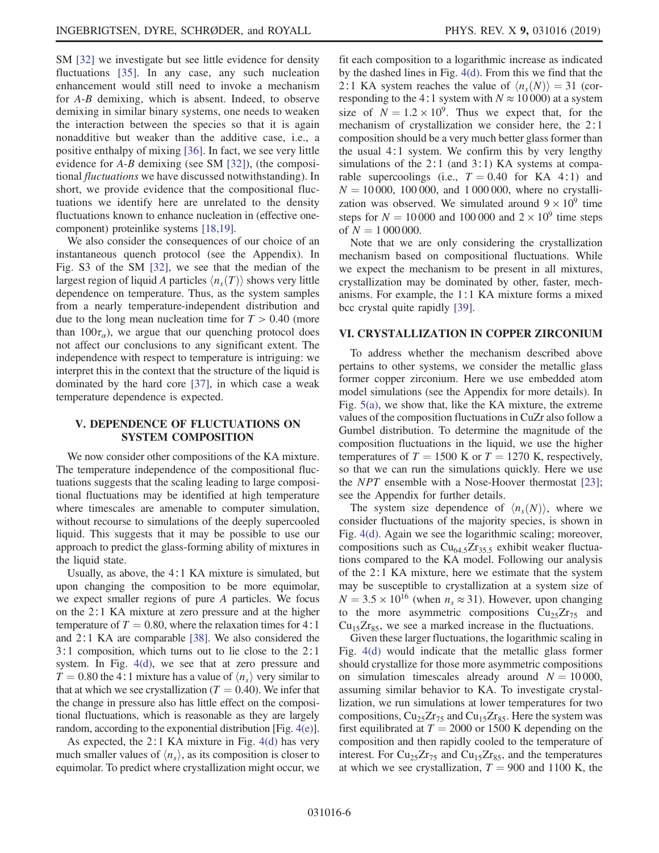SM [\[32\]](#page-9-14) we investigate but see little evidence for density fluctuations [\[35\]](#page-9-17). In any case, any such nucleation enhancement would still need to invoke a mechanism for A-B demixing, which is absent. Indeed, to observe demixing in similar binary systems, one needs to weaken the interaction between the species so that it is again nonadditive but weaker than the additive case, i.e., a positive enthalpy of mixing [\[36\].](#page-9-18) In fact, we see very little evidence for A-B demixing (see SM [\[32\]](#page-9-14)), (the compositional fluctuations we have discussed notwithstanding). In short, we provide evidence that the compositional fluctuations we identify here are unrelated to the density fluctuations known to enhance nucleation in (effective onecomponent) proteinlike systems [\[18,19\]](#page-9-1).

We also consider the consequences of our choice of an instantaneous quench protocol (see the Appendix). In Fig. S3 of the SM [\[32\]](#page-9-14), we see that the median of the largest region of liquid A particles  $\langle n_s(T) \rangle$  shows very little dependence on temperature. Thus, as the system samples from a nearly temperature-independent distribution and due to the long mean nucleation time for  $T > 0.40$  (more than  $100\tau_a$ ), we argue that our quenching protocol does not affect our conclusions to any significant extent. The independence with respect to temperature is intriguing: we interpret this in the context that the structure of the liquid is dominated by the hard core [\[37\],](#page-9-19) in which case a weak temperature dependence is expected.

# V. DEPENDENCE OF FLUCTUATIONS ON SYSTEM COMPOSITION

We now consider other compositions of the KA mixture. The temperature independence of the compositional fluctuations suggests that the scaling leading to large compositional fluctuations may be identified at high temperature where timescales are amenable to computer simulation, without recourse to simulations of the deeply supercooled liquid. This suggests that it may be possible to use our approach to predict the glass-forming ability of mixtures in the liquid state.

Usually, as above, the 4∶1 KA mixture is simulated, but upon changing the composition to be more equimolar, we expect smaller regions of pure A particles. We focus on the 2∶1 KA mixture at zero pressure and at the higher temperature of  $T = 0.80$ , where the relaxation times for 4:1 and 2∶1 KA are comparable [\[38\]](#page-9-20). We also considered the 3∶1 composition, which turns out to lie close to the 2∶1 system. In Fig. [4\(d\)](#page-4-0), we see that at zero pressure and  $T = 0.80$  the 4∶1 mixture has a value of  $\langle n_{s} \rangle$  very similar to that at which we see crystallization ( $T = 0.40$ ). We infer that the change in pressure also has little effect on the compositional fluctuations, which is reasonable as they are largely random, according to the exponential distribution [Fig. [4\(e\)](#page-4-0)].

As expected, the 2∶1 KA mixture in Fig. [4\(d\)](#page-4-0) has very much smaller values of  $\langle n_s \rangle$ , as its composition is closer to equimolar. To predict where crystallization might occur, we fit each composition to a logarithmic increase as indicated by the dashed lines in Fig. [4\(d\).](#page-4-0) From this we find that the 2∶1 KA system reaches the value of  $\langle n_s(N) \rangle = 31$  (corresponding to the 4∶1 system with  $N \approx 10000$ ) at a system size of  $N = 1.2 \times 10^9$ . Thus we expect that, for the mechanism of crystallization we consider here, the 2∶1 composition should be a very much better glass former than the usual 4∶1 system. We confirm this by very lengthy simulations of the 2∶1 (and 3∶1) KA systems at comparable supercoolings (i.e.,  $T = 0.40$  for KA 4:1) and  $N = 10000$ , 100 000, and 1 000 000, where no crystallization was observed. We simulated around  $9 \times 10^9$  time steps for  $N = 10000$  and 100 000 and  $2 \times 10^9$  time steps of  $N = 1000000$ .

Note that we are only considering the crystallization mechanism based on compositional fluctuations. While we expect the mechanism to be present in all mixtures, crystallization may be dominated by other, faster, mechanisms. For example, the 1∶1 KA mixture forms a mixed bcc crystal quite rapidly [\[39\].](#page-9-21)

## VI. CRYSTALLIZATION IN COPPER ZIRCONIUM

To address whether the mechanism described above pertains to other systems, we consider the metallic glass former copper zirconium. Here we use embedded atom model simulations (see the Appendix for more details). In Fig. [5\(a\)](#page-6-0), we show that, like the KA mixture, the extreme values of the composition fluctuations in CuZr also follow a Gumbel distribution. To determine the magnitude of the composition fluctuations in the liquid, we use the higher temperatures of  $T = 1500$  K or  $T = 1270$  K, respectively, so that we can run the simulations quickly. Here we use the NPT ensemble with a Nose-Hoover thermostat [\[23\]](#page-9-6); see the Appendix for further details.

The system size dependence of  $\langle n_s(N) \rangle$ , where we consider fluctuations of the majority species, is shown in Fig. [4\(d\).](#page-4-0) Again we see the logarithmic scaling; moreover, compositions such as  $Cu_{64.5}Zr_{35.5}$  exhibit weaker fluctuations compared to the KA model. Following our analysis of the 2∶1 KA mixture, here we estimate that the system may be susceptible to crystallization at a system size of  $N = 3.5 \times 10^{16}$  (when  $n_s \approx 31$ ). However, upon changing to the more asymmetric compositions  $Cu_{25}Zr_{75}$  and  $Cu_{15}Zr_{85}$ , we see a marked increase in the fluctuations.

Given these larger fluctuations, the logarithmic scaling in Fig. [4\(d\)](#page-4-0) would indicate that the metallic glass former should crystallize for those more asymmetric compositions on simulation timescales already around  $N = 10000$ , assuming similar behavior to KA. To investigate crystallization, we run simulations at lower temperatures for two compositions,  $Cu_{25}Zr_{75}$  and  $Cu_{15}Zr_{85}$ . Here the system was first equilibrated at  $T = 2000$  or 1500 K depending on the composition and then rapidly cooled to the temperature of interest. For  $Cu_{25}Zr_{75}$  and  $Cu_{15}Zr_{85}$ , and the temperatures at which we see crystallization,  $T = 900$  and 1100 K, the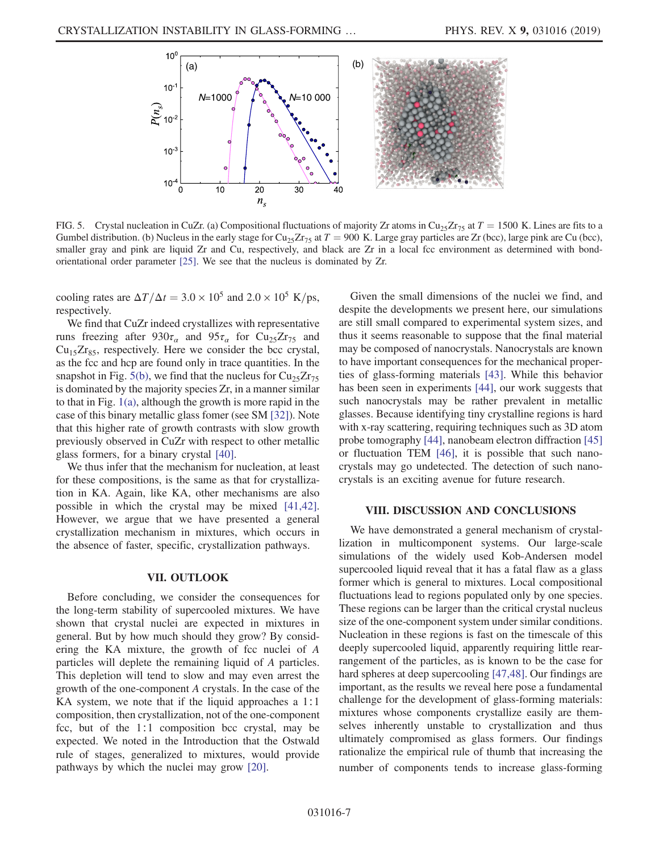<span id="page-6-0"></span>

FIG. 5. Crystal nucleation in CuZr. (a) Compositional fluctuations of majority Zr atoms in Cu<sub>25</sub>Zr<sub>75</sub> at  $T = 1500$  K. Lines are fits to a Gumbel distribution. (b) Nucleus in the early stage for Cu<sub>25</sub>Zr<sub>75</sub> at  $T = 900$  K. Large gray particles are Zr (bcc), large pink are Cu (bcc), smaller gray and pink are liquid Zr and Cu, respectively, and black are Zr in a local fcc environment as determined with bondorientational order parameter [\[25\]](#page-9-8). We see that the nucleus is dominated by Zr.

cooling rates are  $\Delta T/\Delta t = 3.0 \times 10^5$  and  $2.0 \times 10^5$  K/ps, respectively.

We find that CuZr indeed crystallizes with representative runs freezing after  $930\tau_\alpha$  and  $95\tau_\alpha$  for Cu<sub>25</sub>Zr<sub>75</sub> and  $Cu_{15}Zr_{85}$ , respectively. Here we consider the bcc crystal, as the fcc and hcp are found only in trace quantities. In the snapshot in Fig. [5\(b\),](#page-6-0) we find that the nucleus for  $Cu_{25}Zr_{75}$ is dominated by the majority species Zr, in a manner similar to that in Fig. [1\(a\)](#page-1-0), although the growth is more rapid in the case of this binary metallic glass fomer (see SM [\[32\]](#page-9-14)). Note that this higher rate of growth contrasts with slow growth previously observed in CuZr with respect to other metallic glass formers, for a binary crystal [\[40\]](#page-9-22).

We thus infer that the mechanism for nucleation, at least for these compositions, is the same as that for crystallization in KA. Again, like KA, other mechanisms are also possible in which the crystal may be mixed [\[41,42\]](#page-9-23). However, we argue that we have presented a general crystallization mechanism in mixtures, which occurs in the absence of faster, specific, crystallization pathways.

#### VII. OUTLOOK

<span id="page-6-1"></span>Before concluding, we consider the consequences for the long-term stability of supercooled mixtures. We have shown that crystal nuclei are expected in mixtures in general. But by how much should they grow? By considering the KA mixture, the growth of fcc nuclei of A particles will deplete the remaining liquid of A particles. This depletion will tend to slow and may even arrest the growth of the one-component A crystals. In the case of the KA system, we note that if the liquid approaches a 1∶1 composition, then crystallization, not of the one-component fcc, but of the 1:1 composition bcc crystal, may be expected. We noted in the Introduction that the Ostwald rule of stages, generalized to mixtures, would provide pathways by which the nuclei may grow [\[20\]](#page-9-2).

Given the small dimensions of the nuclei we find, and despite the developments we present here, our simulations are still small compared to experimental system sizes, and thus it seems reasonable to suppose that the final material may be composed of nanocrystals. Nanocrystals are known to have important consequences for the mechanical properties of glass-forming materials [\[43\].](#page-9-24) While this behavior has been seen in experiments [\[44\],](#page-9-25) our work suggests that such nanocrystals may be rather prevalent in metallic glasses. Because identifying tiny crystalline regions is hard with x-ray scattering, requiring techniques such as 3D atom probe tomography [\[44\]](#page-9-25), nanobeam electron diffraction [\[45\]](#page-9-26) or fluctuation TEM [\[46\],](#page-9-27) it is possible that such nanocrystals may go undetected. The detection of such nanocrystals is an exciting avenue for future research.

# VIII. DISCUSSION AND CONCLUSIONS

We have demonstrated a general mechanism of crystallization in multicomponent systems. Our large-scale simulations of the widely used Kob-Andersen model supercooled liquid reveal that it has a fatal flaw as a glass former which is general to mixtures. Local compositional fluctuations lead to regions populated only by one species. These regions can be larger than the critical crystal nucleus size of the one-component system under similar conditions. Nucleation in these regions is fast on the timescale of this deeply supercooled liquid, apparently requiring little rearrangement of the particles, as is known to be the case for hard spheres at deep supercooling [\[47,48\].](#page-9-28) Our findings are important, as the results we reveal here pose a fundamental challenge for the development of glass-forming materials: mixtures whose components crystallize easily are themselves inherently unstable to crystallization and thus ultimately compromised as glass formers. Our findings rationalize the empirical rule of thumb that increasing the number of components tends to increase glass-forming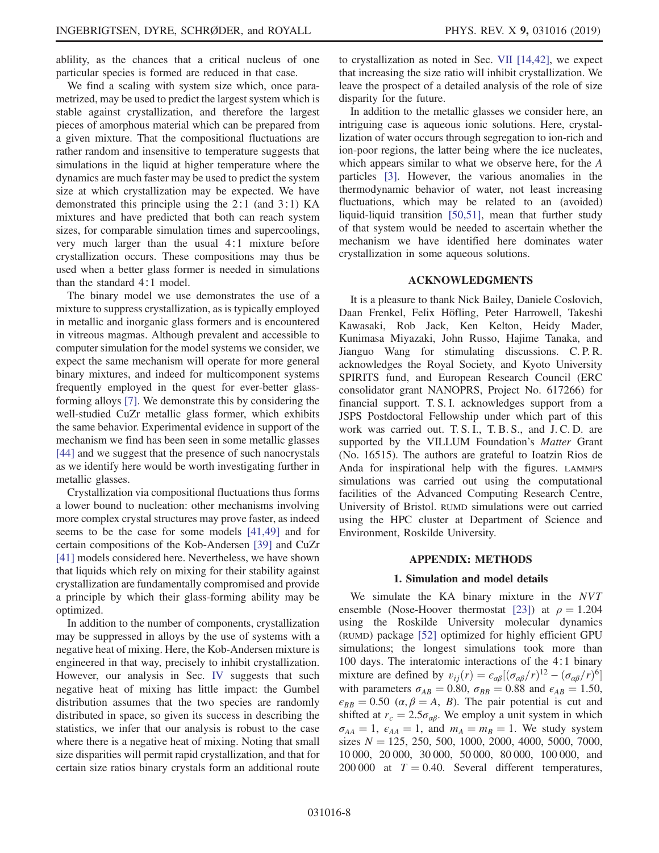ablility, as the chances that a critical nucleus of one particular species is formed are reduced in that case.

We find a scaling with system size which, once parametrized, may be used to predict the largest system which is stable against crystallization, and therefore the largest pieces of amorphous material which can be prepared from a given mixture. That the compositional fluctuations are rather random and insensitive to temperature suggests that simulations in the liquid at higher temperature where the dynamics are much faster may be used to predict the system size at which crystallization may be expected. We have demonstrated this principle using the 2∶1 (and 3∶1) KA mixtures and have predicted that both can reach system sizes, for comparable simulation times and supercoolings, very much larger than the usual 4∶1 mixture before crystallization occurs. These compositions may thus be used when a better glass former is needed in simulations than the standard 4∶1 model.

The binary model we use demonstrates the use of a mixture to suppress crystallization, as is typically employed in metallic and inorganic glass formers and is encountered in vitreous magmas. Although prevalent and accessible to computer simulation for the model systems we consider, we expect the same mechanism will operate for more general binary mixtures, and indeed for multicomponent systems frequently employed in the quest for ever-better glassforming alloys [\[7\].](#page-8-5) We demonstrate this by considering the well-studied CuZr metallic glass former, which exhibits the same behavior. Experimental evidence in support of the mechanism we find has been seen in some metallic glasses [\[44\]](#page-9-25) and we suggest that the presence of such nanocrystals as we identify here would be worth investigating further in metallic glasses.

Crystallization via compositional fluctuations thus forms a lower bound to nucleation: other mechanisms involving more complex crystal structures may prove faster, as indeed seems to be the case for some models [\[41,49\]](#page-9-23) and for certain compositions of the Kob-Andersen [\[39\]](#page-9-21) and CuZr [\[41\]](#page-9-23) models considered here. Nevertheless, we have shown that liquids which rely on mixing for their stability against crystallization are fundamentally compromised and provide a principle by which their glass-forming ability may be optimized.

In addition to the number of components, crystallization may be suppressed in alloys by the use of systems with a negative heat of mixing. Here, the Kob-Andersen mixture is engineered in that way, precisely to inhibit crystallization. However, our analysis in Sec. [IV](#page-4-1) suggests that such negative heat of mixing has little impact: the Gumbel distribution assumes that the two species are randomly distributed in space, so given its success in describing the statistics, we infer that our analysis is robust to the case where there is a negative heat of mixing. Noting that small size disparities will permit rapid crystallization, and that for certain size ratios binary crystals form an additional route to crystallization as noted in Sec. [VII](#page-6-1) [\[14,42\],](#page-8-8) we expect that increasing the size ratio will inhibit crystallization. We leave the prospect of a detailed analysis of the role of size disparity for the future.

In addition to the metallic glasses we consider here, an intriguing case is aqueous ionic solutions. Here, crystallization of water occurs through segregation to ion-rich and ion-poor regions, the latter being where the ice nucleates, which appears similar to what we observe here, for the A particles [\[3\]](#page-8-2). However, the various anomalies in the thermodynamic behavior of water, not least increasing fluctuations, which may be related to an (avoided) liquid-liquid transition [\[50,51\]](#page-9-29), mean that further study of that system would be needed to ascertain whether the mechanism we have identified here dominates water crystallization in some aqueous solutions.

#### ACKNOWLEDGMENTS

It is a pleasure to thank Nick Bailey, Daniele Coslovich, Daan Frenkel, Felix Höfling, Peter Harrowell, Takeshi Kawasaki, Rob Jack, Ken Kelton, Heidy Mader, Kunimasa Miyazaki, John Russo, Hajime Tanaka, and Jianguo Wang for stimulating discussions. C. P. R. acknowledges the Royal Society, and Kyoto University SPIRITS fund, and European Research Council (ERC consolidator grant NANOPRS, Project No. 617266) for financial support. T. S. I. acknowledges support from a JSPS Postdoctoral Fellowship under which part of this work was carried out. T. S. I., T. B. S., and J. C. D. are supported by the VILLUM Foundation's *Matter* Grant (No. 16515). The authors are grateful to Ioatzin Rios de Anda for inspirational help with the figures. LAMMPS simulations was carried out using the computational facilities of the Advanced Computing Research Centre, University of Bristol. RUMD simulations were out carried using the HPC cluster at Department of Science and Environment, Roskilde University.

#### APPENDIX: METHODS

# 1. Simulation and model details

We simulate the KA binary mixture in the NVT ensemble (Nose-Hoover thermostat [\[23\]\)](#page-9-6) at  $\rho = 1.204$ using the Roskilde University molecular dynamics (RUMD) package [\[52\]](#page-10-0) optimized for highly efficient GPU simulations; the longest simulations took more than 100 days. The interatomic interactions of the 4∶1 binary mixture are defined by  $v_{ij}(r) = \epsilon_{\alpha\beta}[(\sigma_{\alpha\beta}/r)^{12} - (\sigma_{\alpha\beta}/r)^6]$ with parameters  $\sigma_{AB} = 0.80$ ,  $\sigma_{BB} = 0.88$  and  $\epsilon_{AB} = 1.50$ ,  $\epsilon_{BB} = 0.50 \ (\alpha, \beta = A, B)$ . The pair potential is cut and shifted at  $r_c = 2.5\sigma_{\alpha\beta}$ . We employ a unit system in which  $\sigma_{AA} = 1$ ,  $\epsilon_{AA} = 1$ , and  $m_A = m_B = 1$ . We study system sizes  $N = 125, 250, 500, 1000, 2000, 4000, 5000, 7000,$ 10 000, 20 000, 30 000, 50 000, 80 000, 100 000, and 200 000 at  $T = 0.40$ . Several different temperatures,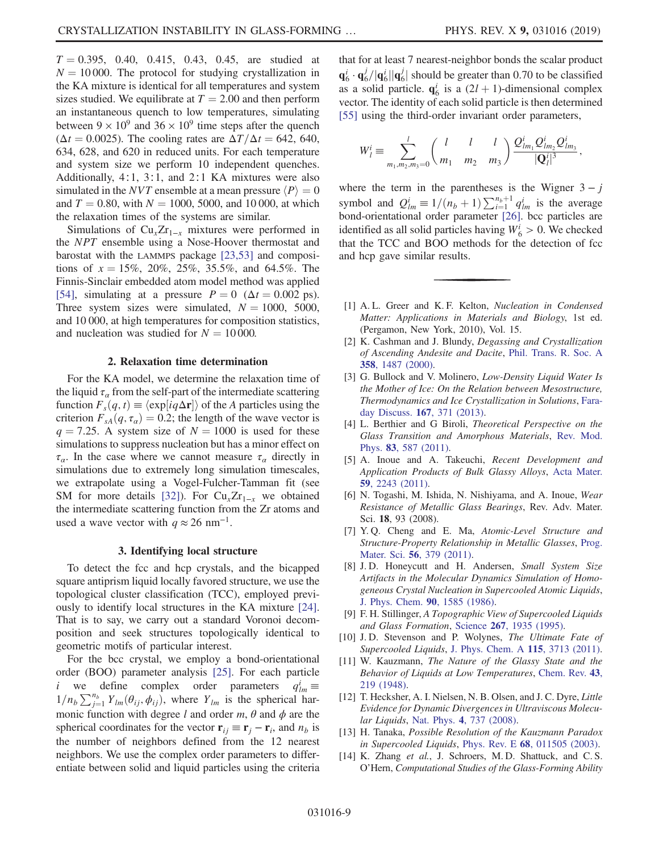$T = 0.395, 0.40, 0.415, 0.43, 0.45,$  are studied at  $N = 10000$ . The protocol for studying crystallization in the KA mixture is identical for all temperatures and system sizes studied. We equilibrate at  $T = 2.00$  and then perform an instantaneous quench to low temperatures, simulating between  $9 \times 10^9$  and  $36 \times 10^9$  time steps after the quench ( $\Delta t = 0.0025$ ). The cooling rates are  $\Delta T/\Delta t = 642, 640$ , 634, 628, and 620 in reduced units. For each temperature and system size we perform 10 independent quenches. Additionally, 4∶1, 3∶1, and 2∶1 KA mixtures were also simulated in the *NVT* ensemble at a mean pressure  $\langle P \rangle = 0$ and  $T = 0.80$ , with  $N = 1000$ , 5000, and 10 000, at which the relaxation times of the systems are similar.

Simulations of  $Cu<sub>x</sub>Zr<sub>1-x</sub>$  mixtures were performed in the NPT ensemble using a Nose-Hoover thermostat and barostat with the LAMMPS package [\[23,53\]](#page-9-6) and compositions of  $x = 15\%, 20\%, 25\%, 35.5\%, \text{ and } 64.5\%$ . The Finnis-Sinclair embedded atom model method was applied [\[54\]](#page-10-1), simulating at a pressure  $P = 0$  ( $\Delta t = 0.002$  ps). Three system sizes were simulated,  $N = 1000$ , 5000, and 10 000, at high temperatures for composition statistics, and nucleation was studied for  $N = 10000$ .

#### 2. Relaxation time determination

For the KA model, we determine the relaxation time of the liquid  $\tau_a$  from the self-part of the intermediate scattering function  $F_s(q, t) \equiv \langle \exp[iq\Delta r] \rangle$  of the A particles using the criterion  $F_{sA}(q, \tau_{\alpha}) = 0.2$ ; the length of the wave vector is  $q = 7.25$ . A system size of  $N = 1000$  is used for these simulations to suppress nucleation but has a minor effect on  $\tau_a$ . In the case where we cannot measure  $\tau_a$  directly in simulations due to extremely long simulation timescales, we extrapolate using a Vogel-Fulcher-Tamman fit (see SM for more details [\[32\]](#page-9-14)). For  $Cu<sub>x</sub>Zr<sub>1-x</sub>$  we obtained the intermediate scattering function from the Zr atoms and used a wave vector with  $q \approx 26$  nm<sup>-1</sup>.

#### 3. Identifying local structure

To detect the fcc and hcp crystals, and the bicapped square antiprism liquid locally favored structure, we use the topological cluster classification (TCC), employed previously to identify local structures in the KA mixture [\[24\]](#page-9-7). That is to say, we carry out a standard Voronoi decomposition and seek structures topologically identical to geometric motifs of particular interest.

For the bcc crystal, we employ a bond-orientational order (BOO) parameter analysis [\[25\].](#page-9-8) For each particle i we define complex order parameters  $q_{lm}^i \equiv$  $1/n_b \sum_{j=1}^{n_b} Y_{lm}(\theta_{ij}, \phi_{ij})$ , where  $Y_{lm}$  is the spherical harmonic function with degree l and order  $m$ ,  $\theta$  and  $\phi$  are the spherical coordinates for the vector  $\mathbf{r}_{ij} \equiv \mathbf{r}_j - \mathbf{r}_i$ , and  $n_b$  is the number of neighbors defined from the 12 nearest neighbors. We use the complex order parameters to differentiate between solid and liquid particles using the criteria that for at least 7 nearest-neighbor bonds the scalar product  $\mathbf{q}_6^i \cdot \mathbf{q}_6^j / |\mathbf{q}_6^i| |\mathbf{q}_6^j|$  should be greater than 0.70 to be classified as a solid particle.  $q_6^i$  is a  $(2l + 1)$ -dimensional complex<br>vector. The identity of each solid particle is then determined vector. The identity of each solid particle is then determined [\[55\]](#page-10-2) using the third-order invariant order parameters,

$$
W_l^i \equiv \sum_{m_1,m_2,m_3=0}^l \binom{l}{m_1} \frac{l}{m_2} \frac{l}{m_3} \frac{Q_{lm_1}^i Q_{lm_2}^i Q_{lm_3}^i}{|\mathbf{Q}_l^i|^3},
$$

where the term in the parentheses is the Wigner  $3 - j$ symbol and  $Q_{lm}^i \equiv 1/(n_b + 1) \sum_{i=1}^{n_b+1} q_{lm}^i$  is the average<br>hond-orientational order parameter [26] bcc particles are bond-orientational order parameter [\[26\].](#page-9-30) bcc particles are identified as all solid particles having  $W_6^i > 0$ . We checked that the TCC and BOO methods for the detection of fcc and hcp gave similar results.

- <span id="page-8-0"></span>[1] A.L. Greer and K.F. Kelton, Nucleation in Condensed Matter: Applications in Materials and Biology, 1st ed. (Pergamon, New York, 2010), Vol. 15.
- <span id="page-8-1"></span>[2] K. Cashman and J. Blundy, *Degassing and Crystallization* of Ascending Andesite and Dacite, [Phil. Trans. R. Soc. A](https://doi.org/10.1098/rsta.2000.0600) 358[, 1487 \(2000\)](https://doi.org/10.1098/rsta.2000.0600).
- <span id="page-8-2"></span>[3] G. Bullock and V. Molinero, Low-Density Liquid Water Is the Mother of Ice: On the Relation between Mesostructure, Thermodynamics and Ice Crystallization in Solutions, [Fara](https://doi.org/10.1039/c3fd00085k)[day Discuss.](https://doi.org/10.1039/c3fd00085k) 167, 371 (2013).
- <span id="page-8-3"></span>[4] L. Berthier and G Biroli, Theoretical Perspective on the Glass Transition and Amorphous Materials, [Rev. Mod.](https://doi.org/10.1103/RevModPhys.83.587) Phys. 83[, 587 \(2011\).](https://doi.org/10.1103/RevModPhys.83.587)
- <span id="page-8-4"></span>[5] A. Inoue and A. Takeuchi, Recent Development and Application Products of Bulk Glassy Alloys, [Acta Mater.](https://doi.org/10.1016/j.actamat.2010.11.027) 59[, 2243 \(2011\)](https://doi.org/10.1016/j.actamat.2010.11.027).
- [6] N. Togashi, M. Ishida, N. Nishiyama, and A. Inoue, Wear Resistance of Metallic Glass Bearings, Rev. Adv. Mater. Sci. 18, 93 (2008).
- <span id="page-8-5"></span>[7] Y. Q. Cheng and E. Ma, Atomic-Level Structure and Structure-Property Relationship in Metallic Glasses, [Prog.](https://doi.org/10.1016/j.pmatsci.2010.12.002) Mater. Sci. 56[, 379 \(2011\)](https://doi.org/10.1016/j.pmatsci.2010.12.002).
- <span id="page-8-6"></span>[8] J.D. Honeycutt and H. Andersen, Small System Size Artifacts in the Molecular Dynamics Simulation of Homogeneous Crystal Nucleation in Supercooled Atomic Liquids, [J. Phys. Chem.](https://doi.org/10.1021/j100399a026) 90, 1585 (1986).
- [9] F. H. Stillinger, A Topographic View of Supercooled Liquids and Glass Formation, Science 267[, 1935 \(1995\)](https://doi.org/10.1126/science.267.5206.1935).
- [10] J.D. Stevenson and P. Wolynes, The Ultimate Fate of Supercooled Liquids, [J. Phys. Chem. A](https://doi.org/10.1021/jp1060057) 115, 3713 (2011).
- <span id="page-8-7"></span>[11] W. Kauzmann, The Nature of the Glassy State and the Behavior of Liquids at Low Temperatures, [Chem. Rev.](https://doi.org/10.1021/cr60135a002) 43, [219 \(1948\)](https://doi.org/10.1021/cr60135a002).
- [12] T. Hecksher, A. I. Nielsen, N. B. Olsen, and J. C. Dyre, Little Evidence for Dynamic Divergences in Ultraviscous Molecular Liquids, Nat. Phys. 4[, 737 \(2008\).](https://doi.org/10.1038/nphys1033)
- [13] H. Tanaka, Possible Resolution of the Kauzmann Paradox in Supercooled Liquids, Phys. Rev. E  $68$ [, 011505 \(2003\).](https://doi.org/10.1103/PhysRevE.68.011505)
- <span id="page-8-8"></span>[14] K. Zhang et al., J. Schroers, M.D. Shattuck, and C.S. O'Hern, Computational Studies of the Glass-Forming Ability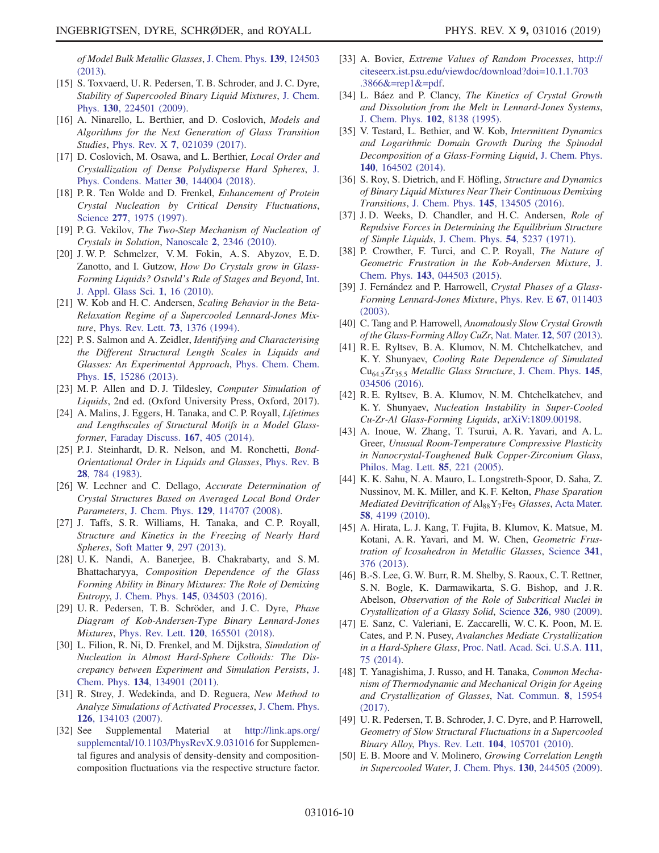of Model Bulk Metallic Glasses, [J. Chem. Phys.](https://doi.org/10.1063/1.4821637) 139, 124503 [\(2013\)](https://doi.org/10.1063/1.4821637).

- <span id="page-9-4"></span>[15] S. Toxvaerd, U. R. Pedersen, T. B. Schroder, and J. C. Dyre, Stability of Supercooled Binary Liquid Mixtures, [J. Chem.](https://doi.org/10.1063/1.3144049) Phys. 130[, 224501 \(2009\).](https://doi.org/10.1063/1.3144049)
- <span id="page-9-0"></span>[16] A. Ninarello, L. Berthier, and D. Coslovich, Models and Algorithms for the Next Generation of Glass Transition Studies, Phys. Rev. X 7[, 021039 \(2017\).](https://doi.org/10.1103/PhysRevX.7.021039)
- [17] D. Coslovich, M. Osawa, and L. Berthier, *Local Order and* Crystallization of Dense Polydisperse Hard Spheres, [J.](https://doi.org/10.1088/1361-648X/aab0c9) [Phys. Condens. Matter](https://doi.org/10.1088/1361-648X/aab0c9) 30, 144004 (2018).
- <span id="page-9-1"></span>[18] P. R. Ten Wolde and D. Frenkel, *Enhancement of Protein* Crystal Nucleation by Critical Density Fluctuations, Science 277[, 1975 \(1997\).](https://doi.org/10.1126/science.277.5334.1975)
- [19] P.G. Vekilov, The Two-Step Mechanism of Nucleation of Crystals in Solution, Nanoscale 2[, 2346 \(2010\).](https://doi.org/10.1039/c0nr00628a)
- <span id="page-9-2"></span>[20] J. W. P. Schmelzer, V. M. Fokin, A. S. Abyzov, E. D. Zanotto, and I. Gutzow, How Do Crystals grow in Glass-Forming Liquids? Ostwld's Rule of Stages and Beyond, [Int.](https://doi.org/10.1111/j.2041-1294.2010.00003.x) [J. Appl. Glass Sci.](https://doi.org/10.1111/j.2041-1294.2010.00003.x) 1, 16 (2010).
- <span id="page-9-3"></span>[21] W. Kob and H. C. Andersen, Scaling Behavior in the Beta-Relaxation Regime of a Supercooled Lennard-Jones Mixture, [Phys. Rev. Lett.](https://doi.org/10.1103/PhysRevLett.73.1376) 73, 1376 (1994).
- <span id="page-9-5"></span>[22] P. S. Salmon and A. Zeidler, *Identifying and Characterising* the Different Structural Length Scales in Liquids and Glasses: An Experimental Approach, [Phys. Chem. Chem.](https://doi.org/10.1039/c3cp51741a) Phys. 15[, 15286 \(2013\)](https://doi.org/10.1039/c3cp51741a).
- <span id="page-9-7"></span><span id="page-9-6"></span>[23] M. P. Allen and D. J. Tildesley, Computer Simulation of Liquids, 2nd ed. (Oxford University Press, Oxford, 2017).
- [24] A. Malins, J. Eggers, H. Tanaka, and C. P. Royall, Lifetimes and Lengthscales of Structural Motifs in a Model Glassformer, [Faraday Discuss.](https://doi.org/10.1039/c3fd00078h) 167, 405 (2014).
- <span id="page-9-8"></span>[25] P.J. Steinhardt, D.R. Nelson, and M. Ronchetti, Bond-Orientational Order in Liquids and Glasses, [Phys. Rev. B](https://doi.org/10.1103/PhysRevB.28.784) 28[, 784 \(1983\).](https://doi.org/10.1103/PhysRevB.28.784)
- <span id="page-9-30"></span>[26] W. Lechner and C. Dellago, Accurate Determination of Crystal Structures Based on Averaged Local Bond Order Parameters, J. Chem. Phys. 129[, 114707 \(2008\)](https://doi.org/10.1063/1.2977970).
- <span id="page-9-10"></span><span id="page-9-9"></span>[27] J. Taffs, S. R. Williams, H. Tanaka, and C. P. Royall, Structure and Kinetics in the Freezing of Nearly Hard Spheres, Soft Matter 9[, 297 \(2013\).](https://doi.org/10.1039/C2SM26473K)
- [28] U. K. Nandi, A. Banerjee, B. Chakrabarty, and S. M. Bhattacharyya, Composition Dependence of the Glass Forming Ability in Binary Mixtures: The Role of Demixing Entropy, J. Chem. Phys. 145[, 034503 \(2016\)](https://doi.org/10.1063/1.4958630).
- <span id="page-9-12"></span><span id="page-9-11"></span>[29] U.R. Pedersen, T.B. Schröder, and J.C. Dyre, Phase Diagram of Kob-Andersen-Type Binary Lennard-Jones Mixtures, Phys. Rev. Lett. 120[, 165501 \(2018\).](https://doi.org/10.1103/PhysRevLett.120.165501)
- [30] L. Filion, R. Ni, D. Frenkel, and M. Dijkstra, Simulation of Nucleation in Almost Hard-Sphere Colloids: The Discrepancy between Experiment and Simulation Persists, [J.](https://doi.org/10.1063/1.3572059) Chem. Phys. 134[, 134901 \(2011\)](https://doi.org/10.1063/1.3572059).
- <span id="page-9-14"></span><span id="page-9-13"></span>[31] R. Strey, J. Wedekinda, and D. Reguera, New Method to Analyze Simulations of Activated Processes, [J. Chem. Phys.](https://doi.org/10.1063/1.2713401) 126[, 134103 \(2007\).](https://doi.org/10.1063/1.2713401)
- [32] See Supplemental Material at [http://link.aps.org/](http://link.aps.org/supplemental/10.1103/PhysRevX.9.031016) [supplemental/10.1103/PhysRevX.9.031016](http://link.aps.org/supplemental/10.1103/PhysRevX.9.031016) for Supplemental figures and analysis of density-density and compositioncomposition fluctuations via the respective structure factor.
- <span id="page-9-15"></span>[33] A. Bovier, Extreme Values of Random Processes, [http://](http://citeseerx.ist.psu.edu/viewdoc/download?doi=10.1.1.703.3866&=rep1&=pdf) [citeseerx.ist.psu.edu/viewdoc/download?doi=10.1.1.703](http://citeseerx.ist.psu.edu/viewdoc/download?doi=10.1.1.703.3866&=rep1&=pdf) [.3866&=rep1&=pdf.](http://citeseerx.ist.psu.edu/viewdoc/download?doi=10.1.1.703.3866&=rep1&=pdf)
- <span id="page-9-16"></span>[34] L. Báez and P. Clancy, The Kinetics of Crystal Growth and Dissolution from the Melt in Lennard-Jones Systems, [J. Chem. Phys.](https://doi.org/10.1063/1.469225) 102, 8138 (1995).
- <span id="page-9-17"></span>[35] V. Testard, L. Bethier, and W. Kob, Intermittent Dynamics and Logarithmic Domain Growth During the Spinodal Decomposition of a Glass-Forming Liquid, [J. Chem. Phys.](https://doi.org/10.1063/1.4871624) 140[, 164502 \(2014\).](https://doi.org/10.1063/1.4871624)
- <span id="page-9-18"></span>[36] S. Roy, S. Dietrich, and F. Höfling, *Structure and Dynamics* of Binary Liquid Mixtures Near Their Continuous Demixing Transitions, J. Chem. Phys. 145[, 134505 \(2016\)](https://doi.org/10.1063/1.4963771).
- <span id="page-9-19"></span>[37] J.D. Weeks, D. Chandler, and H.C. Andersen, Role of Repulsive Forces in Determining the Equilibrium Structure of Simple Liquids, [J. Chem. Phys.](https://doi.org/10.1063/1.1674820) 54, 5237 (1971).
- <span id="page-9-20"></span>[38] P. Crowther, F. Turci, and C.P. Royall, The Nature of Geometric Frustration in the Kob-Andersen Mixture, [J.](https://doi.org/10.1063/1.4927302) Chem. Phys. 143[, 044503 \(2015\)](https://doi.org/10.1063/1.4927302).
- <span id="page-9-21"></span>[39] J. Fernández and P. Harrowell, Crystal Phases of a Glass-Forming Lennard-Jones Mixture, [Phys. Rev. E](https://doi.org/10.1103/PhysRevE.67.011403) 67, 011403 [\(2003\).](https://doi.org/10.1103/PhysRevE.67.011403)
- <span id="page-9-22"></span>[40] C. Tang and P. Harrowell, Anomalously Slow Crystal Growth of the Glass-Forming Alloy CuZr, Nat. Mater. 12[, 507 \(2013\).](https://doi.org/10.1038/nmat3631)
- <span id="page-9-23"></span>[41] R. E. Ryltsev, B. A. Klumov, N. M. Chtchelkatchev, and K. Y. Shunyaev, Cooling Rate Dependence of Simulated Cu<sub>64.5</sub>Zr<sub>35.5</sub> Metallic Glass Structure, [J. Chem. Phys.](https://doi.org/10.1063/1.4958631) 145, [034506 \(2016\).](https://doi.org/10.1063/1.4958631)
- [42] R. E. Ryltsev, B. A. Klumov, N. M. Chtchelkatchev, and K. Y. Shunyaev, Nucleation Instability in Super-Cooled Cu-Zr-Al Glass-Forming Liquids, [arXiV:1809.00198](http://arXiv.org/abs/arXiV:1809.00198).
- <span id="page-9-24"></span>[43] A. Inoue, W. Zhang, T. Tsurui, A. R. Yavari, and A. L. Greer, Unusual Room-Temperature Compressive Plasticity in Nanocrystal-Toughened Bulk Copper-Zirconium Glass, [Philos. Mag. Lett.](https://doi.org/10.1080/09500830500197724) 85, 221 (2005).
- <span id="page-9-25"></span>[44] K. K. Sahu, N. A. Mauro, L. Longstreth-Spoor, D. Saha, Z. Nussinov, M. K. Miller, and K. F. Kelton, Phase Sparation *Mediated Devitrification of*  $Al_{88}Y_7Fe_5$  *Glasses*, [Acta Mater.](https://doi.org/10.1016/j.actamat.2010.04.011) 58[, 4199 \(2010\)](https://doi.org/10.1016/j.actamat.2010.04.011).
- <span id="page-9-26"></span>[45] A. Hirata, L. J. Kang, T. Fujita, B. Klumov, K. Matsue, M. Kotani, A. R. Yavari, and M. W. Chen, Geometric Frustration of Icosahedron in Metallic Glasses, [Science](https://doi.org/10.1126/science.1232450) 341, [376 \(2013\)](https://doi.org/10.1126/science.1232450).
- <span id="page-9-27"></span>[46] B.-S. Lee, G. W. Burr, R. M. Shelby, S. Raoux, C. T. Rettner, S. N. Bogle, K. Darmawikarta, S. G. Bishop, and J. R. Abelson, Observation of the Role of Subcritical Nuclei in Crystallization of a Glassy Solid, Science 326[, 980 \(2009\)](https://doi.org/10.1126/science.1177483).
- <span id="page-9-28"></span>[47] E. Sanz, C. Valeriani, E. Zaccarelli, W. C. K. Poon, M. E. Cates, and P. N. Pusey, Avalanches Mediate Crystallization in a Hard-Sphere Glass, [Proc. Natl. Acad. Sci. U.S.A.](https://doi.org/10.1073/pnas.1308338110) 111, [75 \(2014\).](https://doi.org/10.1073/pnas.1308338110)
- [48] T. Yanagishima, J. Russo, and H. Tanaka, *Common Mecha*nism of Thermodynamic and Mechanical Origin for Ageing and Crystallization of Glasses, [Nat. Commun.](https://doi.org/10.1038/ncomms15954) 8, 15954 [\(2017\).](https://doi.org/10.1038/ncomms15954)
- [49] U. R. Pedersen, T. B. Schroder, J. C. Dyre, and P. Harrowell, Geometry of Slow Structural Fluctuations in a Supercooled Binary Alloy, Phys. Rev. Lett. 104[, 105701 \(2010\).](https://doi.org/10.1103/PhysRevLett.104.105701)
- <span id="page-9-29"></span>[50] E. B. Moore and V. Molinero, *Growing Correlation Length* in Supercooled Water, J. Chem. Phys. 130[, 244505 \(2009\).](https://doi.org/10.1063/1.3158470)